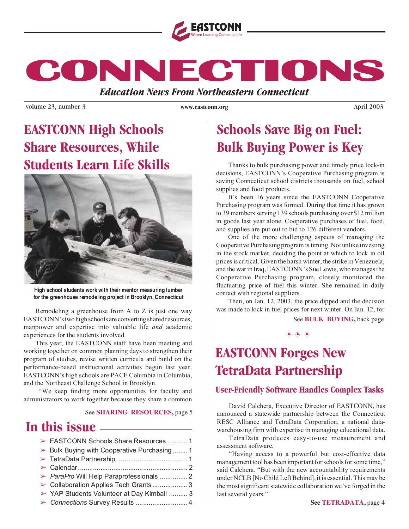

**CONNECTIONS CONNECTIONS CONNECTIONS**

*Education News From Northeastern Connecticut*

volume 23, number 3 *www.eastconn.org April 2003 April 2003* 

**www.eastconn.org**

### **EASTCONN High Schools Share Resources, While Students Learn Life Skills**



**High school students work with their mentor measuring lumber for the greenhouse remodeling project in Brooklyn, Connecticut**

Remodeling a greenhouse from A to Z is just one way EASTCONN's two high schools are converting shared resources, manpower and expertise into valuable life and academic experiences for the students involved.

This year, the EASTCONN staff have been meeting and working together on common planning days to strengthen their program of studies, revise written curricula and build on the performance-based instructional activities begun last year. EASTCONN's high schools are PACE Columbia in Columbia, and the Northeast Challenge School in Brooklyn.

"We keep finding more opportunities for faculty and administrators to work together because they share a common

#### See **SHARING RESOURCES,** page 5

### **In this issue**

| > EASTCONN Schools Share Resources  1       |  |
|---------------------------------------------|--|
| > Bulk Buying with Cooperative Purchasing 1 |  |
|                                             |  |
|                                             |  |
| > ParaPro Will Help Paraprofessionals  2    |  |
| > Collaboration Applies Tech Grants 3       |  |
| > YAP Students Volunteer at Day Kimball  3  |  |
|                                             |  |
|                                             |  |

### **Schools Save Big on Fuel: Bulk Buying Power is Key**

Thanks to bulk purchasing power and timely price lock-in decisions, EASTCONN's Cooperative Purchasing program is saving Connecticut school districts thousands on fuel, school supplies and food products.

It's been 16 years since the EASTCONN Cooperative Purchasing program was formed. During that time it has grown to 39 members serving 139 schools purchasing over \$12 million in goods last year alone. Cooperative purchases of fuel, food, and supplies are put out to bid to 126 different vendors.

One of the more challenging aspects of managing the Cooperative Purchasing program is timing. Not unlike investing in the stock market, deciding the point at which to lock in oil prices is critical. Given the harsh winter, the strike in Venezuela, and the war in Iraq, EASTCONN's Sue Lewis, who manages the Cooperative Purchasing program, closely monitored the fluctuating price of fuel this winter. She remained in daily contact with regional suppliers.

Then, on Jan. 12, 2003, the price dipped and the decision was made to lock in fuel prices for next winter. On Jan. 12, for

See **BULK BUYING,** back page

❂ ❂ ❂

# **EASTCONN Forges New TetraData Partnership**

### **User-Friendly Software Handles Complex Tasks**

David Calchera, Executive Director of EASTCONN, has announced a statewide partnership between the Connecticut RESC Alliance and TetraData Corporation, a national datawarehousing firm with expertise in managing educational data.

TetraData produces easy-to-use measurement and assessment software.

"Having access to a powerful but cost-effective data management tool has been important for schools for some time," said Calchera. "But with the new accountability requirements under NCLB [No Child Left Behind], it is essential. This may be the most significant statewide collaboration we've forged in the last several years."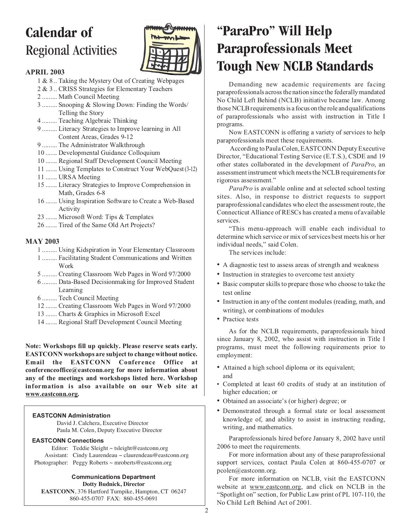# **Calendar of** Regional Activities



### APRIL 2003

- 1 & 8 .. Taking the Mystery Out of Creating Webpages
- 2 & 3 .. CRISS Strategies for Elementary Teachers
- 2 ......... Math Council Meeting
- 3 ......... Snooping & Slowing Down: Finding the Words/ Telling the Story
- 4 ......... Teaching Algebraic Thinking
- 9 ......... Literacy Strategies to Improve learning in All Content Areas, Grades 9-12
- 9 ......... The Administrator Walkthrough
- 10 ....... Developmental Guidance Colloquium
- 10 ....... Regional Staff Development Council Meeting
- 11 ....... Using Templates to Construct Your WebQuest (3-12)
- 11 ....... URSA Meeting
- 15 ....... Literacy Strategies to Improve Comprehension in Math, Grades 6-8
- 16 ....... Using Inspiration Software to Create a Web-Based Activity
- 23 ....... Microsoft Word: Tips & Templates
- 26 ....... Tired of the Same Old Art Projects?

### MAY 2003

- 1 ......... Using Kidspiration in Your Elementary Classroom
- 1 ......... Facilitating Student Communications and Written Work
- 5 ......... Creating Classroom Web Pages in Word 97/2000
- 6 ......... Data-Based Decisionmaking for Improved Student Learning
- 6 ......... Tech Council Meeting
- 12 ....... Creating Classroom Web Pages in Word 97/2000
- 13 ....... Charts & Graphics in Microsoft Excel
- 14 ....... Regional Staff Development Council Meeting

Note: Workshops fill up quickly. Please reserve seats early. EASTCONN workshops are subject to change without notice. Email the EASTCONN Conference Office at conferenceoffice@eastconn.org for more information about any of the meetings and workshops listed here. Workshop information is also available on our Web site at www.eastconn.org.

### **EASTCONN Administration**

David J. Calchera, Executive Director Paula M. Colen, Deputy Executive Director

#### **EASTCONN Connections**

Editor: Teddie Sleight ~ tsleight@eastconn.org Assistant: Cindy Laurendeau ~ claurendeau@eastconn.org Photographer: Peggy Roberts ~ mroberts@eastconn.org

### **Communications Department**

**Dotty Budnick, Director EASTCONN**, 376 Hartford Turnpike, Hampton, CT 06247 860-455-0707 FAX: 860-455-0691

# **"ParaPro" Will Help Paraprofessionals Meet Tough New NCLB Standards**

Demanding new academic requirements are facing paraprofessionals across the nation since the federally mandated No Child Left Behind (NCLB) initiative became law. Among those NCLB requirements is a focus on the role and qualifications of paraprofessionals who assist with instruction in Title I programs.

Now EASTCONN is offering a variety of services to help paraprofessionals meet these requirements.

According to Paula Colen, EASTCONN Deputy Executive Director, "Educational Testing Service (E.T.S.), CSDE and 19 other states collaborated in the development of ParaPro, an assessment instrument which meets the NCLB requirements for rigorous assessment."

ParaPro is available online and at selected school testing sites. Also, in response to district requests to support paraprofessional candidates who elect the assessment route, the Connecticut Alliance of RESCs has created a menu of available services.

"This menu-approach will enable each individual to determine which service or mix of services best meets his or her individual needs," said Colen.

The services include:

- A diagnostic test to assess areas of strength and weakness
- Instruction in strategies to overcome test anxiety
- Basic computer skills to prepare those who choose to take the test online
- Instruction in any of the content modules (reading, math, and writing), or combinations of modules
- Practice tests

As for the NCLB requirements, paraprofessionals hired since January 8, 2002, who assist with instruction in Title I programs, must meet the following requirements prior to employment:

- Attained a high school diploma or its equivalent; and
- Completed at least 60 credits of study at an institution of higher education; or
- Obtained an associate's (or higher) degree; or
- Demonstrated through a formal state or local assessment knowledge of, and ability to assist in instructing reading, writing, and mathematics.

Paraprofessionals hired before January 8, 2002 have until 2006 to meet the requirements.

For more information about any of these paraprofessional support services, contact Paula Colen at 860-455-0707 or pcolen@eastconn.org.

For more information on NCLB, visit the EASTCONN website at www.eastconn.org, and click on NCLB in the "Spotlight on" section, for Public Law print of PL 107-110, the No Child Left Behind Act of 2001.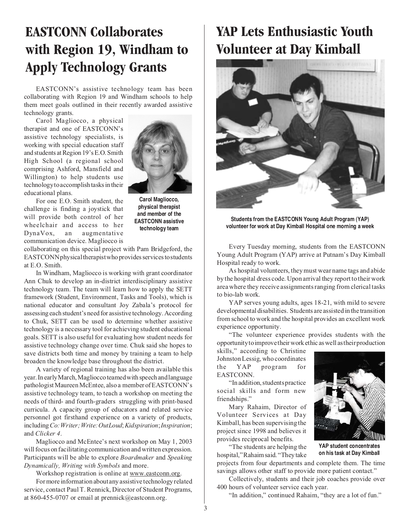# **EASTCONN Collaborates with Region 19, Windham to Apply Technology Grants**

EASTCONN's assistive technology team has been collaborating with Region 19 and Windham schools to help them meet goals outlined in their recently awarded assistive technology grants.

Carol Magliocco, a physical therapist and one of EASTCONN's assistive technology specialists, is working with special education staff and students at Region 19's E.O. Smith High School (a regional school comprising Ashford, Mansfield and Willington) to help students use technology to accomplish tasks in their educational plans.



For one E.O. Smith student, the challenge is finding a joystick that will provide both control of her wheelchair and access to her DynaVox, an augmentative communication device. Magliocco is

**Carol Magliocco, physical therapist and member of the EASTCONN assistive technology team**

collaborating on this special project with Pam Bridgeford, the EASTCONN physical therapist who provides services to students at E.O. Smith.

In Windham, Magliocco is working with grant coordinator Ann Chuk to develop an in-district interdisciplinary assistive technology team. The team will learn how to apply the SETT framework (Student, Environment, Tasks and Tools), which is national educator and consultant Joy Zabala's protocol for assessing each student's need for assistive technology. According to Chuk, SETT can be used to determine whether assistive technology is a necessary tool for achieving student educational goals. SETT is also useful for evaluating how student needs for assistive technology change over time. Chuk said she hopes to save districts both time and money by training a team to help broaden the knowledge base throughout the district.

A variety of regional training has also been available this year. In early March, Magliocco teamed with speech and language pathologist Maureen McEntee, also a member of EASTCONN's assistive technology team, to teach a workshop on meeting the needs of third- and fourth-graders struggling with print-based curricula. A capacity group of educators and related service personnel got firsthand experience on a variety of products, including Co: Writer; Write: OutLoud; Kidspiration; Inspiration; and Clicker 4.

Magliocco and McEntee's next workshop on May 1, 2003 will focus on facilitating communication and written expression. Participants will be able to explore Boardmaker and Speaking Dynamically, Writing with Symbols and more.

Workshop registration is online at www.eastconn.org.

For more information about any assistive technology related service, contact Paul T. Rennick, Director of Student Programs, at 860-455-0707 or email at prennick@eastconn.org.

# **YAP Lets Enthusiastic Youth Volunteer at Day Kimball**



**Students from the EASTCONN Young Adult Program (YAP) volunteer for work at Day Kimball Hospital one morning a week**

Every Tuesday morning, students from the EASTCONN Young Adult Program (YAP) arrive at Putnam's Day Kimball Hospital ready to work.

As hospital volunteers, they must wear name tags and abide by the hospital dress code. Upon arrival they report to their work area where they receive assignments ranging from clerical tasks to bio-lab work.

YAP serves young adults, ages 18-21, with mild to severe developmental disabilities. Students are assisted in the transition from school to work and the hospital provides an excellent work experience opportunity.

"The volunteer experience provides students with the opportunity to improve their work ethic as well as their production

skills," according to Christine Johnston Lessig, who coordinates the YAP program for EASTCONN.

"In addition, students practice social skills and form new friendships."

Mary Rahaim, Director of Volunteer Services at Day Kimball, has been supervising the project since 1998 and believes it provides reciprocal benefits.

"The students are helping the hospital," Rahaim said. "They take



**YAP student concentrates on his task at Day Kimball**

savings allows other staff to provide more patient contact." Collectively, students and their job coaches provide over 400 hours of volunteer service each year.

projects from four departments and complete them. The time

"In addition," continued Rahaim, "they are a lot of fun."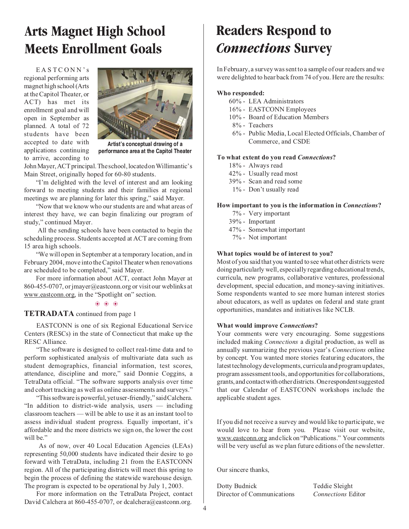### **Arts Magnet High School Meets Enrollment Goals**

EASTCONN's regional performing arts magnet high school (Arts at the Capitol Theater, or ACT) has met its enrollment goal and will open in September as planned. A total of 72 students have been accepted to date with applications continuing to arrive, according to



**performance area at the Capitol Theater**

John Mayer, ACT principal. The school, located on Willimantic's Main Street, originally hoped for 60-80 students.

"I'm delighted with the level of interest and am looking forward to meeting students and their families at regional meetings we are planning for later this spring," said Mayer.

"Now that we know who our students are and what areas of interest they have, we can begin finalizing our program of study," continued Mayer.

All the sending schools have been contacted to begin the scheduling process. Students accepted at ACT are coming from 15 area high schools.

"We will open in September at a temporary location, and in February 2004, move into the Capitol Theater when renovations are scheduled to be completed," said Mayer.

For more information about ACT, contact John Mayer at 860-455-0707, or jmayer@eastconn.org or visit our weblinks at www.eastconn.org, in the "Spotlight on" section.

### ❂ ❂ ❂

### TETRADATA continued from page 1

EASTCONN is one of six Regional Educational Service Centers (RESCs) in the state of Connecticut that make up the RESC Alliance.

"The software is designed to collect real-time data and to perform sophisticated analysis of multivariate data such as student demographics, financial information, test scores, attendance, discipline and more," said Donnie Coggins, a TetraData official. "The software supports analysis over time and cohort tracking as well as online assessments and surveys."

"This software is powerful, yet user-friendly," said Calchera. "In addition to district-wide analysis, users — including classroom teachers — will be able to use it as an instant tool to assess individual student progress. Equally important, it's affordable and the more districts we sign on, the lower the cost will be."

As of now, over 40 Local Education Agencies (LEAs) representing 50,000 students have indicated their desire to go forward with TetraData, including 21 from the EASTCONN region. All of the participating districts will meet this spring to begin the process of defining the statewide warehouse design. The program is expected to be operational by July 1, 2003.

For more information on the TetraData Project, contact David Calchera at 860-455-0707, or dcalchera@eastconn.org.

### **Readers Respond to** *Connections* **Survey**

In February, a survey was sent to a sample of our readers and we were delighted to hear back from 74 of you. Here are the results:

#### Who responded:

- 60% LEA Administrators
- 16% EASTCONN Employees
- 10% Board of Education Members
- 8% Teachers
- 6% Public Media, Local Elected Officials, Chamber of Commerce, and CSDE

#### To what extent do you read Connections?

- 18% Always read
- 42% Usually read most
- 39% Scan and read some
- 1% Don't usually read

#### How important to you is the information in Connections?

- 7% Very important
- 39% Important
- 47% Somewhat important
- 7% Not important

#### What topics would be of interest to you?

Most of you said that you wanted to see what other districts were doing particularly well, especially regarding educational trends, curricula, new programs, collaborative ventures, professional development, special education, and money-saving initiatives. Some respondents wanted to see more human interest stories about educators, as well as updates on federal and state grant opportunities, mandates and initiatives like NCLB.

#### What would improve Connections?

Your comments were very encouraging. Some suggestions included making Connections a digital production, as well as annually summarizing the previous year's Connections online by concept. You wanted more stories featuring educators, the latest technology developments, curricula and program updates, program assessment tools, and opportunities for collaborations, grants, and contact with other districts. One respondent suggested that our Calendar of EASTCONN workshops include the applicable student ages.

If you did not receive a survey and would like to participate, we would love to hear from you. Please visit our website, www.eastconn.org and click on "Publications." Your comments will be very useful as we plan future editions of the newsletter.

Our sincere thanks,

Dotty Budnick Teddie Sleight Director of Communications Connections Editor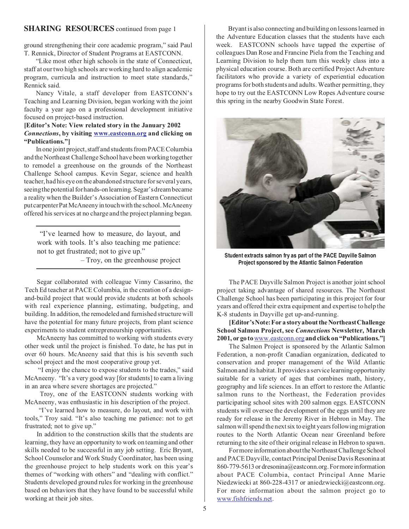ground strengthening their core academic program," said Paul T. Rennick, Director of Student Programs at EASTCONN.

"Like most other high schools in the state of Connecticut, staff at our two high schools are working hard to align academic program, curricula and instruction to meet state standards," Rennick said.

Nancy Vitale, a staff developer from EASTCONN's Teaching and Learning Division, began working with the joint faculty a year ago on a professional development initiative focused on project-based instruction.

### [Editor's Note: View related story in the January 2002 Connections, by visiting www.eastconn.org and clicking on "Publications."]

In one joint project, staff and students from PACE Columbia and the Northeast Challenge School have been working together to remodel a greenhouse on the grounds of the Northeast Challenge School campus. Kevin Segar, science and health teacher, had his eye on the abandoned structure for several years, seeing the potential for hands-on learning. Segar's dream became a reality when the Builder's Association of Eastern Connecticut put carpenter Pat McAneeny in touch with the school. McAneeny offered his services at no charge and the project planning began.

"I've learned how to measure, do layout, and work with tools. It's also teaching me patience: not to get frustrated; not to give up."

– Troy, on the greenhouse project

Segar collaborated with colleague Vinny Cassarino, the Tech Ed teacher at PACE Columbia, in the creation of a designand-build project that would provide students at both schools with real experience planning, estimating, budgeting, and building. In addition, the remodeled and furnished structure will have the potential for many future projects, from plant science experiments to student entrepreneurship opportunities.

McAneeny has committed to working with students every other week until the project is finished. To date, he has put in over 60 hours. McAneeny said that this is his seventh such school project and the most cooperative group yet.

"I enjoy the chance to expose students to the trades," said McAneeny. "It's a very good way [for students] to earn a living in an area where severe shortages are projected."

Troy, one of the EASTCONN students working with McAneeny, was enthusiastic in his description of the project.

"I've learned how to measure, do layout, and work with tools," Troy said. "It's also teaching me patience: not to get frustrated; not to give up."

In addition to the construction skills that the students are learning, they have an opportunity to work on teaming and other skills needed to be successful in any job setting. Eric Bryant, School Counselor and Work Study Coordinator, has been using the greenhouse project to help students work on this year's themes of "working with others" and "dealing with conflict." Students developed ground rules for working in the greenhouse based on behaviors that they have found to be successful while working at their job sites.

**SHARING RESOURCES** continued from page 1 Bryant is also connecting and building on lessons learned in the Adventure Education classes that the students have each week. EASTCONN schools have tapped the expertise of colleagues Dan Rose and Francine Piela from the Teaching and Learning Division to help them turn this weekly class into a physical education course. Both are certified Project Adventure facilitators who provide a variety of experiential education programs for both students and adults. Weather permitting, they hope to try out the EASTCONN Low Ropes Adventure course this spring in the nearby Goodwin State Forest.



**Student extracts salmon fry as part of the PACE Dayville Salmon Project sponsored by the Atlantic Salmon Federation**

The PACE Dayville Salmon Project is another joint school project taking advantage of shared resources. The Northeast Challenge School has been participating in this project for four years and offered their extra equipment and expertise to help the K-8 students in Dayville get up-and-running.

[Editor's Note: For a story about the Northeast Challenge School Salmon Project, see Connections Newsletter, March 2001, or go to www.eastconn.organd click on "Publications."]

The Salmon Project is sponsored by the Atlantic Salmon Federation, a non-profit Canadian organization, dedicated to conservation and proper management of the Wild Atlantic Salmon and its habitat. It provides a service learning opportunity suitable for a variety of ages that combines math, history, geography and life sciences. In an effort to restore the Atlantic salmon runs to the Northeast, the Federation provides participating school sites with 200 salmon eggs. EASTCONN students will oversee the development of the eggs until they are ready for release in the Jeremy River in Hebron in May. The salmon will spend the next six to eight years following migration routes to the North Atlantic Ocean near Greenland before returning to the site of their original release in Hebron to spawn.

For more information about the Northeast Challenge School and PACE Dayville, contact Principal Denise Davis Resonina at 860-779-5613 or dresonina@eastconn.org. For more information about PACE Columbia, contact Principal Anne Marie Niedzwiecki at 860-228-4317 or aniedzwiecki@eastconn.org. For more information about the salmon project go to www.fishfriends.net.